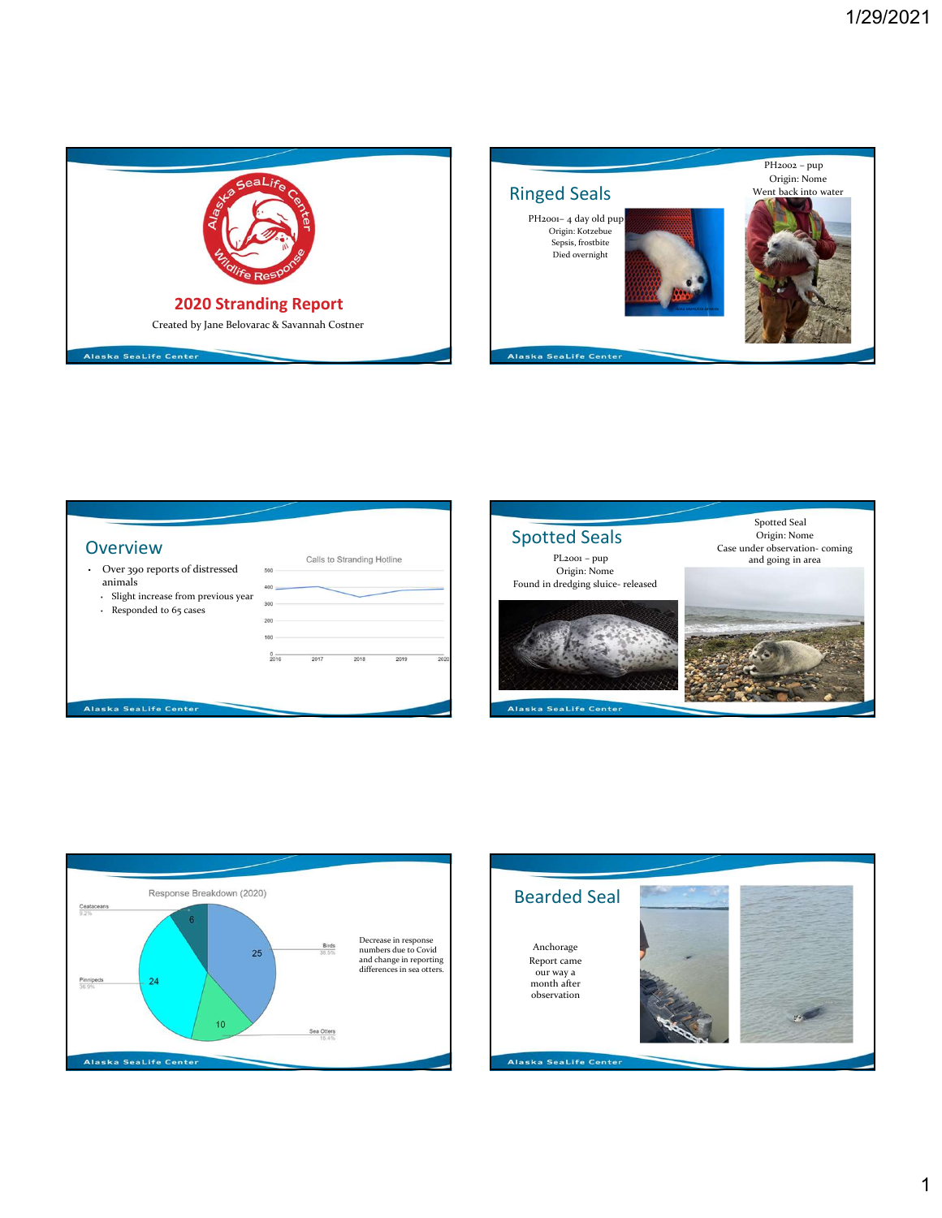